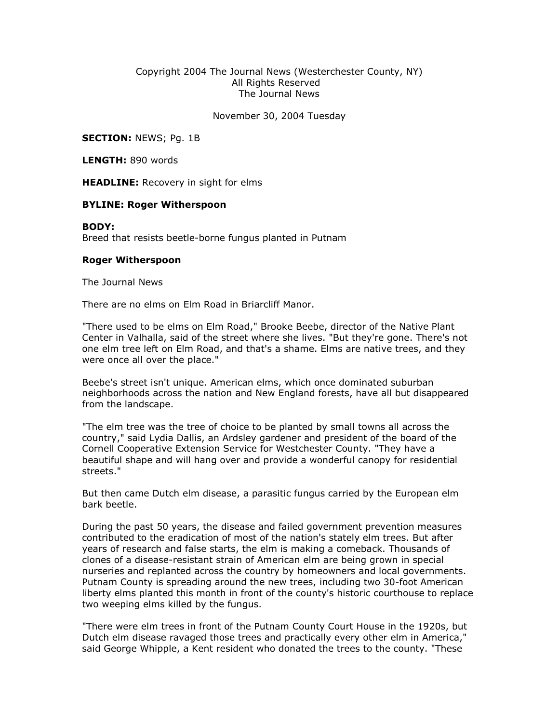## Copyright 2004 The Journal News (Westerchester County, NY) All Rights Reserved The Journal News

November 30, 2004 Tuesday

**SECTION: NEWS; Pg. 1B** 

LENGTH: 890 words

**HEADLINE:** Recovery in sight for elms

## BYLINE: Roger Witherspoon

## BODY:

Breed that resists beetle-borne fungus planted in Putnam

## Roger Witherspoon

The Journal News

There are no elms on Elm Road in Briarcliff Manor.

"There used to be elms on Elm Road," Brooke Beebe, director of the Native Plant Center in Valhalla, said of the street where she lives. "But they're gone. There's not one elm tree left on Elm Road, and that's a shame. Elms are native trees, and they were once all over the place."

Beebe's street isn't unique. American elms, which once dominated suburban neighborhoods across the nation and New England forests, have all but disappeared from the landscape.

"The elm tree was the tree of choice to be planted by small towns all across the country," said Lydia Dallis, an Ardsley gardener and president of the board of the Cornell Cooperative Extension Service for Westchester County. "They have a beautiful shape and will hang over and provide a wonderful canopy for residential streets."

But then came Dutch elm disease, a parasitic fungus carried by the European elm bark beetle.

During the past 50 years, the disease and failed government prevention measures contributed to the eradication of most of the nation's stately elm trees. But after years of research and false starts, the elm is making a comeback. Thousands of clones of a disease-resistant strain of American elm are being grown in special nurseries and replanted across the country by homeowners and local governments. Putnam County is spreading around the new trees, including two 30-foot American liberty elms planted this month in front of the county's historic courthouse to replace two weeping elms killed by the fungus.

"There were elm trees in front of the Putnam County Court House in the 1920s, but Dutch elm disease ravaged those trees and practically every other elm in America," said George Whipple, a Kent resident who donated the trees to the county. "These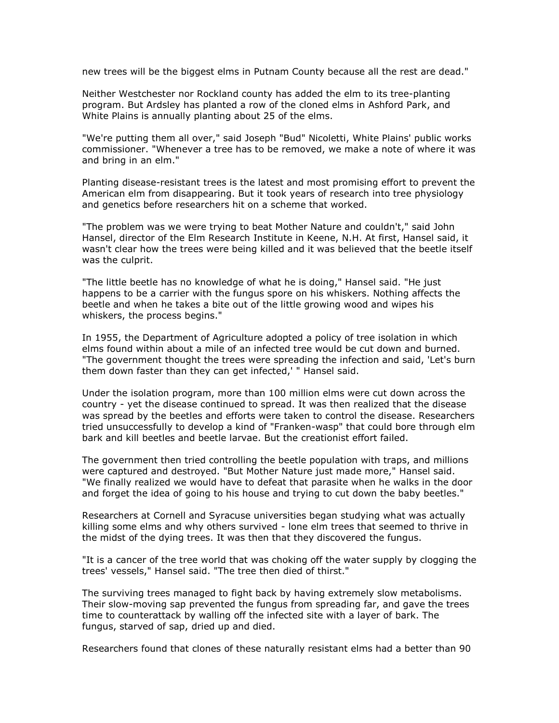new trees will be the biggest elms in Putnam County because all the rest are dead."

Neither Westchester nor Rockland county has added the elm to its tree-planting program. But Ardsley has planted a row of the cloned elms in Ashford Park, and White Plains is annually planting about 25 of the elms.

"We're putting them all over," said Joseph "Bud" Nicoletti, White Plains' public works commissioner. "Whenever a tree has to be removed, we make a note of where it was and bring in an elm."

Planting disease-resistant trees is the latest and most promising effort to prevent the American elm from disappearing. But it took years of research into tree physiology and genetics before researchers hit on a scheme that worked.

"The problem was we were trying to beat Mother Nature and couldn't," said John Hansel, director of the Elm Research Institute in Keene, N.H. At first, Hansel said, it wasn't clear how the trees were being killed and it was believed that the beetle itself was the culprit.

"The little beetle has no knowledge of what he is doing," Hansel said. "He just happens to be a carrier with the fungus spore on his whiskers. Nothing affects the beetle and when he takes a bite out of the little growing wood and wipes his whiskers, the process begins."

In 1955, the Department of Agriculture adopted a policy of tree isolation in which elms found within about a mile of an infected tree would be cut down and burned. "The government thought the trees were spreading the infection and said, 'Let's burn them down faster than they can get infected,' " Hansel said.

Under the isolation program, more than 100 million elms were cut down across the country - yet the disease continued to spread. It was then realized that the disease was spread by the beetles and efforts were taken to control the disease. Researchers tried unsuccessfully to develop a kind of "Franken-wasp" that could bore through elm bark and kill beetles and beetle larvae. But the creationist effort failed.

The government then tried controlling the beetle population with traps, and millions were captured and destroyed. "But Mother Nature just made more," Hansel said. "We finally realized we would have to defeat that parasite when he walks in the door and forget the idea of going to his house and trying to cut down the baby beetles."

Researchers at Cornell and Syracuse universities began studying what was actually killing some elms and why others survived - lone elm trees that seemed to thrive in the midst of the dying trees. It was then that they discovered the fungus.

"It is a cancer of the tree world that was choking off the water supply by clogging the trees' vessels," Hansel said. "The tree then died of thirst."

The surviving trees managed to fight back by having extremely slow metabolisms. Their slow-moving sap prevented the fungus from spreading far, and gave the trees time to counterattack by walling off the infected site with a layer of bark. The fungus, starved of sap, dried up and died.

Researchers found that clones of these naturally resistant elms had a better than 90